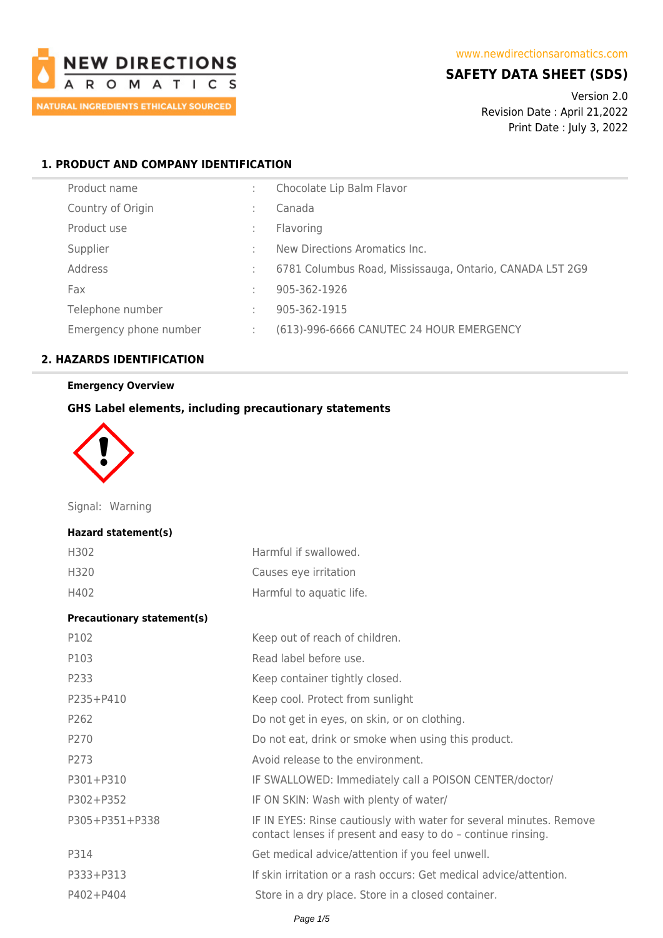

## **SAFETY DATA SHEET (SDS)**

Version 2.0 Revision Date : April 21,2022 Print Date : July 3, 2022

### **1. PRODUCT AND COMPANY IDENTIFICATION**

| Product name           |   | Chocolate Lip Balm Flavor                                |
|------------------------|---|----------------------------------------------------------|
| Country of Origin      |   | Canada                                                   |
| Product use            |   | Flavoring                                                |
| Supplier               |   | New Directions Aromatics Inc.                            |
| Address                |   | 6781 Columbus Road, Mississauga, Ontario, CANADA L5T 2G9 |
| Fax                    |   | 905-362-1926                                             |
| Telephone number       | ÷ | 905-362-1915                                             |
| Emergency phone number | ÷ | (613)-996-6666 CANUTEC 24 HOUR EMERGENCY                 |

## **2. HAZARDS IDENTIFICATION**

### **Emergency Overview**

#### **GHS Label elements, including precautionary statements**



Signal: Warning

#### **Hazard statement(s)**

| H302 | Harmful if swallowed.    |
|------|--------------------------|
| H320 | Causes eye irritation    |
| H402 | Harmful to aquatic life. |

#### **Precautionary statement(s)**

| P102           | Keep out of reach of children.                                                                                                      |
|----------------|-------------------------------------------------------------------------------------------------------------------------------------|
| P103           | Read label before use.                                                                                                              |
| P233           | Keep container tightly closed.                                                                                                      |
| $P235 + P410$  | Keep cool. Protect from sunlight                                                                                                    |
| P262           | Do not get in eyes, on skin, or on clothing.                                                                                        |
| P270           | Do not eat, drink or smoke when using this product.                                                                                 |
| P273           | Avoid release to the environment.                                                                                                   |
| P301+P310      | IF SWALLOWED: Immediately call a POISON CENTER/doctor/                                                                              |
| P302+P352      | IF ON SKIN: Wash with plenty of water/                                                                                              |
| P305+P351+P338 | IF IN EYES: Rinse cautiously with water for several minutes. Remove<br>contact lenses if present and easy to do - continue rinsing. |
| P314           | Get medical advice/attention if you feel unwell.                                                                                    |
| P333+P313      | If skin irritation or a rash occurs: Get medical advice/attention.                                                                  |
| $P402 + P404$  | Store in a dry place. Store in a closed container.                                                                                  |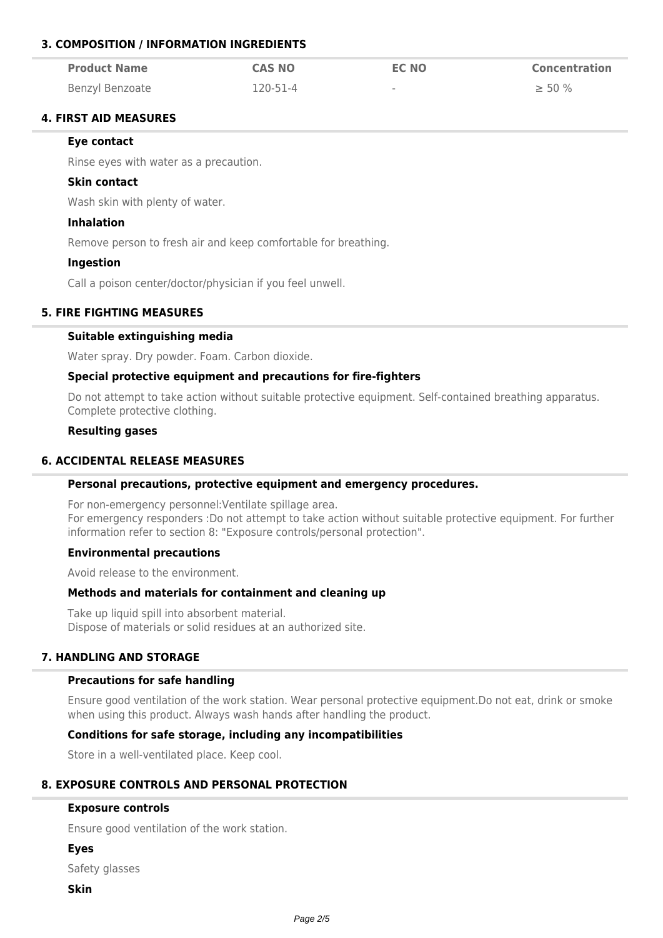## **3. COMPOSITION / INFORMATION INGREDIENTS**

| <b>Product Name</b> | <b>CAS NO</b>  | <b>EC NO</b> | <b>Concentration</b> |
|---------------------|----------------|--------------|----------------------|
| Benzyl Benzoate     | $120 - 51 - 4$ | $\sim$       | $\geq 50\%$          |

## **4. FIRST AID MEASURES**

#### **Eye contact**

Rinse eyes with water as a precaution.

#### **Skin contact**

Wash skin with plenty of water.

#### **Inhalation**

Remove person to fresh air and keep comfortable for breathing.

#### **Ingestion**

Call a poison center/doctor/physician if you feel unwell.

#### **5. FIRE FIGHTING MEASURES**

#### **Suitable extinguishing media**

Water spray. Dry powder. Foam. Carbon dioxide.

#### **Special protective equipment and precautions for fire-fighters**

Do not attempt to take action without suitable protective equipment. Self-contained breathing apparatus. Complete protective clothing.

#### **Resulting gases**

## **6. ACCIDENTAL RELEASE MEASURES**

#### **Personal precautions, protective equipment and emergency procedures.**

For non-emergency personnel:Ventilate spillage area. For emergency responders :Do not attempt to take action without suitable protective equipment. For further information refer to section 8: "Exposure controls/personal protection".

#### **Environmental precautions**

Avoid release to the environment.

## **Methods and materials for containment and cleaning up**

Take up liquid spill into absorbent material. Dispose of materials or solid residues at an authorized site.

#### **7. HANDLING AND STORAGE**

#### **Precautions for safe handling**

Ensure good ventilation of the work station. Wear personal protective equipment.Do not eat, drink or smoke when using this product. Always wash hands after handling the product.

#### **Conditions for safe storage, including any incompatibilities**

Store in a well-ventilated place. Keep cool.

#### **8. EXPOSURE CONTROLS AND PERSONAL PROTECTION**

#### **Exposure controls**

Ensure good ventilation of the work station.

**Eyes**

Safety glasses

**Skin**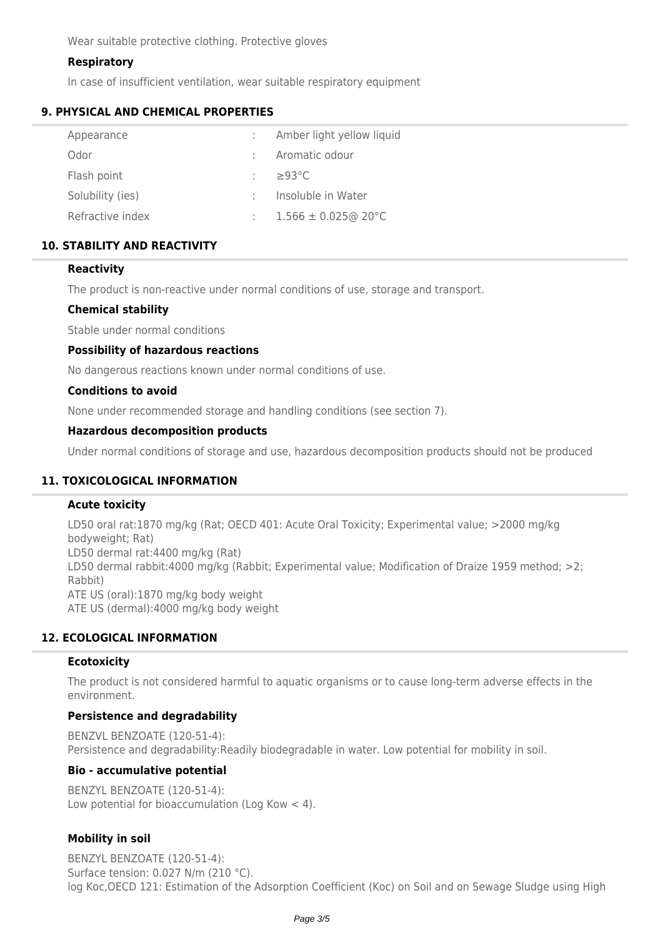Wear suitable protective clothing. Protective gloves

## **Respiratory**

In case of insufficient ventilation, wear suitable respiratory equipment

### **9. PHYSICAL AND CHEMICAL PROPERTIES**

| Appearance       | Amber light yellow liquid |
|------------------|---------------------------|
| Odor             | Aromatic odour            |
| Flash point      | $\geq$ 93°C               |
| Solubility (ies) | Insoluble in Water        |
| Refractive index | $1.566 \pm 0.025$ @ 20°C  |
|                  |                           |

## **10. STABILITY AND REACTIVITY**

### **Reactivity**

The product is non-reactive under normal conditions of use, storage and transport.

### **Chemical stability**

Stable under normal conditions

### **Possibility of hazardous reactions**

No dangerous reactions known under normal conditions of use.

### **Conditions to avoid**

None under recommended storage and handling conditions (see section 7).

### **Hazardous decomposition products**

Under normal conditions of storage and use, hazardous decomposition products should not be produced

## **11. TOXICOLOGICAL INFORMATION**

## **Acute toxicity**

LD50 oral rat:1870 mg/kg (Rat; OECD 401: Acute Oral Toxicity; Experimental value; >2000 mg/kg bodyweight; Rat) LD50 dermal rat:4400 mg/kg (Rat) LD50 dermal rabbit:4000 mg/kg (Rabbit; Experimental value; Modification of Draize 1959 method; >2; Rabbit) ATE US (oral):1870 mg/kg body weight ATE US (dermal):4000 mg/kg body weight

## **12. ECOLOGICAL INFORMATION**

#### **Ecotoxicity**

The product is not considered harmful to aquatic organisms or to cause long-term adverse effects in the environment.

## **Persistence and degradability**

BENZVL BENZOATE (120-51-4): Persistence and degradability:Readily biodegradable in water. Low potential for mobility in soil.

#### **Bio - accumulative potential**

BENZYL BENZOATE (120-51-4): Low potential for bioaccumulation (Log Kow < 4).

## **Mobility in soil**

BENZYL BENZOATE (120-51-4): Surface tension: 0.027 N/m (210 °C). log Koc,OECD 121: Estimation of the Adsorption Coefficient (Koc) on Soil and on Sewage Sludge using High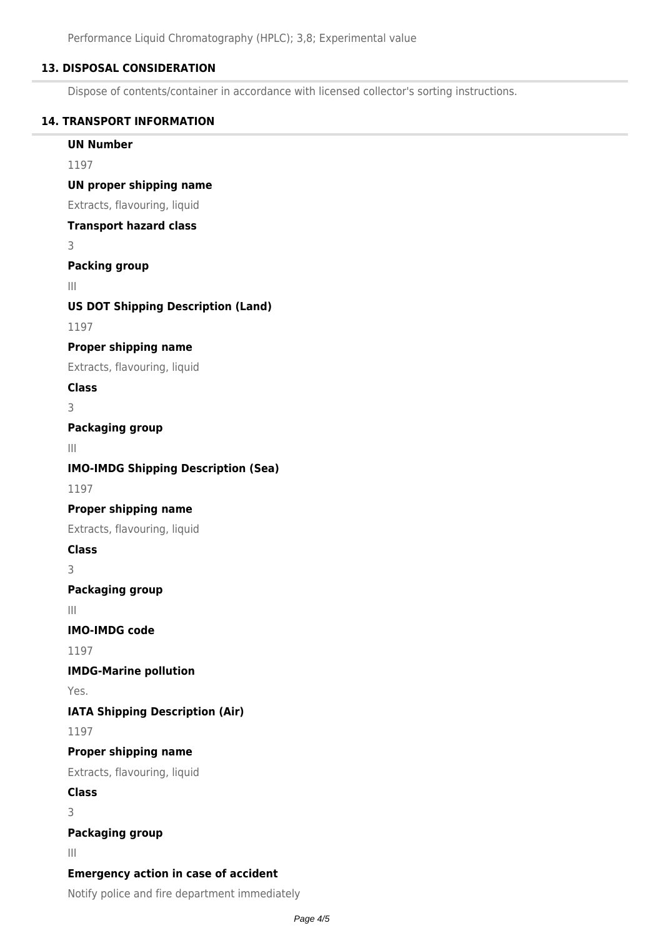## **13. DISPOSAL CONSIDERATION**

Dispose of contents/container in accordance with licensed collector's sorting instructions.

### **14. TRANSPORT INFORMATION**

**UN Number**

1197

#### **UN proper shipping name**

Extracts, flavouring, liquid

#### **Transport hazard class**

3

## **Packing group**

III

## **US DOT Shipping Description (Land)**

1197

## **Proper shipping name**

Extracts, flavouring, liquid

## **Class**

3

## **Packaging group**

III

## **IMO-IMDG Shipping Description (Sea)**

1197

## **Proper shipping name**

Extracts, flavouring, liquid

#### **Class**

3

## **Packaging group**

III

**IMO-IMDG code**

1197

## **IMDG-Marine pollution**

Yes.

# **IATA Shipping Description (Air)**

1197

## **Proper shipping name**

Extracts, flavouring, liquid

## **Class**

3

## **Packaging group**

III

## **Emergency action in case of accident**

Notify police and fire department immediately